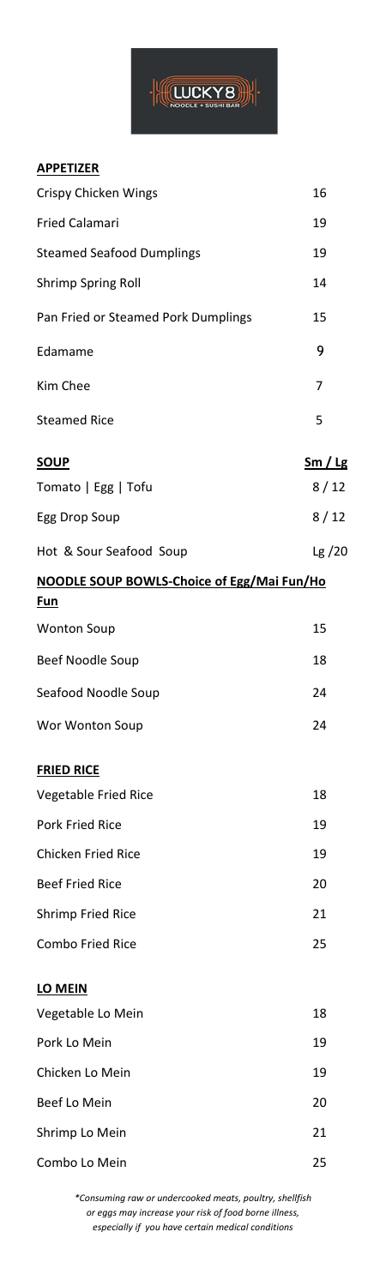

## **APPETIZER**

| Crispy Chicken Wings                                     | 16             |
|----------------------------------------------------------|----------------|
| <b>Fried Calamari</b>                                    | 19             |
| <b>Steamed Seafood Dumplings</b>                         | 19             |
| <b>Shrimp Spring Roll</b>                                | 14             |
| Pan Fried or Steamed Pork Dumplings                      | 15             |
| Edamame                                                  | 9              |
| Kim Chee                                                 | 7              |
| <b>Steamed Rice</b>                                      | 5              |
| <b>SOUP</b>                                              | <u>Sm / Lg</u> |
| Tomato   Egg   Tofu                                      | 8/12           |
| Egg Drop Soup                                            | 8/12           |
| Hot & Sour Seafood Soup                                  | Lg $/20$       |
| <b>NOODLE SOUP BOWLS-Choice of Egg/Mai Fun/Ho</b><br>Fun |                |
| <b>Wonton Soup</b>                                       | 15             |
| Beef Noodle Soup                                         | 18             |
| Seafood Noodle Soup                                      | 24             |
| Wor Wonton Soup                                          | 24             |
| <b>FRIED RICE</b>                                        |                |
| Vegetable Fried Rice                                     | 18             |
| <b>Pork Fried Rice</b>                                   | 19             |
| <b>Chicken Fried Rice</b>                                | 19             |
| <b>Beef Fried Rice</b>                                   | 20             |
| <b>Shrimp Fried Rice</b>                                 | 21             |
| <b>Combo Fried Rice</b>                                  | 25             |
| LO MEIN                                                  |                |
| Vegetable Lo Mein                                        | 18             |
| Pork Lo Mein                                             | 19             |
| Chicken Lo Mein                                          | 19             |
| Beef Lo Mein                                             | 20             |
| Shrimp Lo Mein                                           | 21             |
| Combo Lo Mein                                            | 25             |

*\*Consuming raw or undercooked meats, poultry, shellfish or eggs may increase your risk of food borne illness, especially if you have certain medical conditions*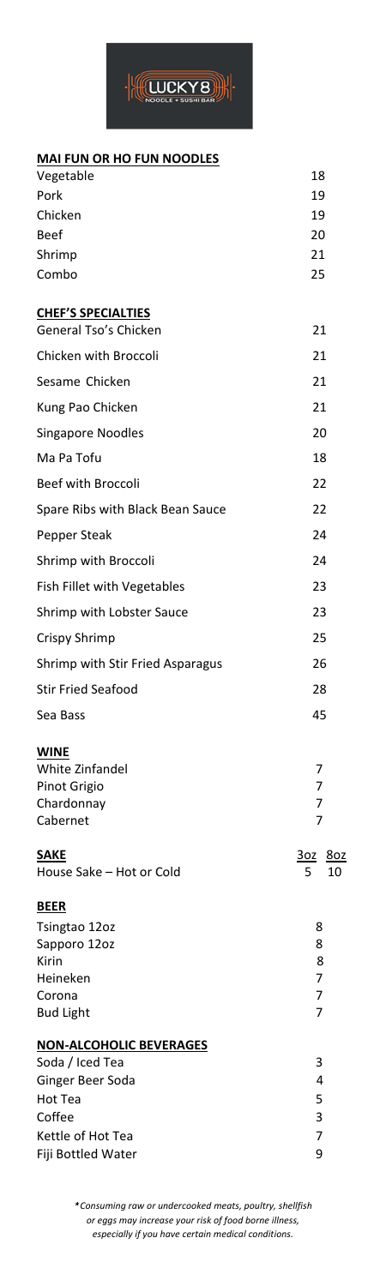

## **MAI FUN OR HO FUN NOODLES**

| Vegetable                                                                | 18                           |
|--------------------------------------------------------------------------|------------------------------|
| Pork                                                                     | 19                           |
| Chicken                                                                  | 19                           |
| <b>Beef</b>                                                              | 20                           |
| Shrimp                                                                   | 21                           |
| Combo                                                                    | 25                           |
| <b>CHEF'S SPECIALTIES</b><br>General Tso's Chicken                       | 21                           |
| Chicken with Broccoli                                                    | 21                           |
| Sesame Chicken                                                           | 21                           |
| Kung Pao Chicken                                                         | 21                           |
| <b>Singapore Noodles</b>                                                 | 20                           |
| Ma Pa Tofu                                                               | 18                           |
| <b>Beef with Broccoli</b>                                                | 22                           |
| Spare Ribs with Black Bean Sauce                                         | 22                           |
| Pepper Steak                                                             | 24                           |
| Shrimp with Broccoli                                                     | 24                           |
| Fish Fillet with Vegetables                                              | 23                           |
| Shrimp with Lobster Sauce                                                | 23                           |
| Crispy Shrimp                                                            | 25                           |
| Shrimp with Stir Fried Asparagus                                         | 26                           |
| <b>Stir Fried Seafood</b>                                                | 28                           |
| Sea Bass                                                                 | 45                           |
| <b>WINE</b><br>White Zinfandel<br>Pinot Grigio<br>Chardonnay<br>Cabernet | 7<br>7<br>7<br>7             |
| <b>SAKE</b><br>House Sake - Hot or Cold                                  | <u>3oz</u><br>80z<br>5<br>10 |
| <b>BEER</b>                                                              |                              |
| Tsingtao 12oz                                                            | 8                            |
| Sapporo 12oz                                                             | 8                            |
| Kirin<br>Heineken                                                        | 8<br>7                       |
| Corona                                                                   | 7                            |
| <b>Bud Light</b>                                                         | 7                            |
| <b>NON-ALCOHOLIC BEVERAGES</b>                                           |                              |
| Soda / Iced Tea                                                          | 3                            |
| Ginger Beer Soda<br>Hot Tea                                              | 4<br>5                       |
| Coffee                                                                   | 3                            |
| Kettle of Hot Tea                                                        | 7                            |
| Fiji Bottled Water                                                       | 9                            |

*Consuming raw or undercooked meats, poultry, shellfish or eggs may increase your risk of food borne illness, especially if you have certain medical conditions.*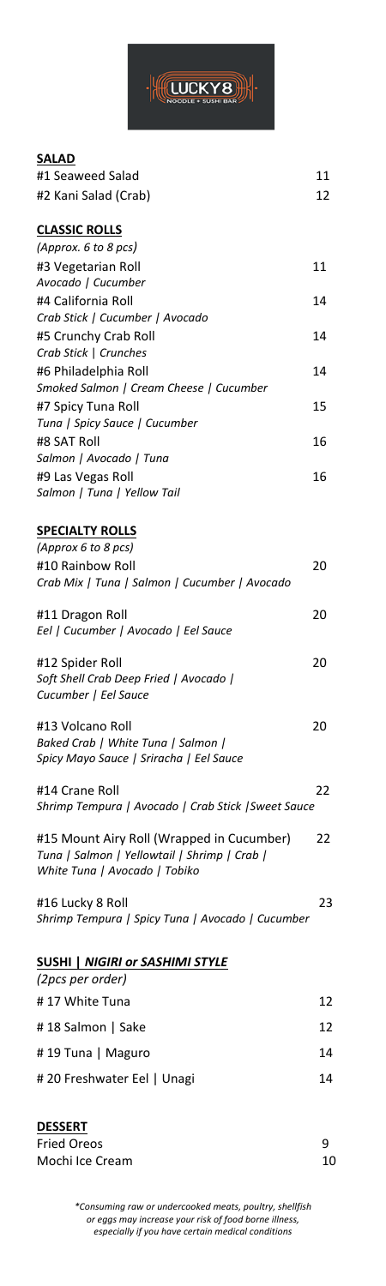

#### **SALAD**

| #1 Seaweed Salad                                           | 11 |
|------------------------------------------------------------|----|
| #2 Kani Salad (Crab)                                       | 12 |
| <b>CLASSIC ROLLS</b>                                       |    |
| (Approx. 6 to 8 pcs)                                       |    |
| #3 Vegetarian Roll                                         | 11 |
| Avocado   Cucumber                                         |    |
| #4 California Roll                                         | 14 |
| Crab Stick   Cucumber   Avocado                            |    |
| #5 Crunchy Crab Roll<br>Crab Stick   Crunches              | 14 |
| #6 Philadelphia Roll                                       | 14 |
| Smoked Salmon   Cream Cheese   Cucumber                    |    |
| #7 Spicy Tuna Roll                                         | 15 |
| Tuna   Spicy Sauce   Cucumber                              |    |
| #8 SAT Roll                                                | 16 |
| Salmon   Avocado   Tuna                                    |    |
| #9 Las Vegas Roll                                          | 16 |
| Salmon   Tuna   Yellow Tail                                |    |
| <b>SPECIALTY ROLLS</b>                                     |    |
| (Approx 6 to 8 pcs)                                        |    |
| #10 Rainbow Roll                                           | 20 |
| Crab Mix   Tuna   Salmon   Cucumber   Avocado              |    |
| #11 Dragon Roll                                            | 20 |
| Eel   Cucumber   Avocado   Eel Sauce                       |    |
| #12 Spider Roll                                            | 20 |
| Soft Shell Crab Deep Fried   Avocado                       |    |
| Cucumber   Eel Sauce                                       |    |
| #13 Volcano Roll                                           | 20 |
| Baked Crab   White Tuna   Salmon                           |    |
| Spicy Mayo Sauce   Sriracha   Eel Sauce                    |    |
| #14 Crane Roll                                             | 22 |
| Shrimp Tempura   Avocado   Crab Stick   Sweet Sauce        |    |
| #15 Mount Airy Roll (Wrapped in Cucumber)                  | 22 |
| Tuna   Salmon   Yellowtail   Shrimp   Crab                 |    |
| White Tuna   Avocado   Tobiko                              |    |
| #16 Lucky 8 Roll                                           | 23 |
| Shrimp Tempura   Spicy Tuna   Avocado   Cucumber           |    |
|                                                            |    |
| <b>SUSHI   NIGIRI or SASHIMI STYLE</b><br>(2pcs per order) |    |
| #17 White Tuna                                             | 12 |
| #18 Salmon   Sake                                          | 12 |
| # 19 Tuna   Maguro                                         | 14 |
| # 20 Freshwater Eel   Unagi                                | 14 |
|                                                            |    |
|                                                            |    |

| <b>DESSERT</b>     |    |
|--------------------|----|
| <b>Fried Oreos</b> | q  |
| Mochi Ice Cream    | 10 |

*\*Consuming raw or undercooked meats, poultry, shellfish or eggs may increase your risk of food borne illness, especially if you have certain medical conditions*